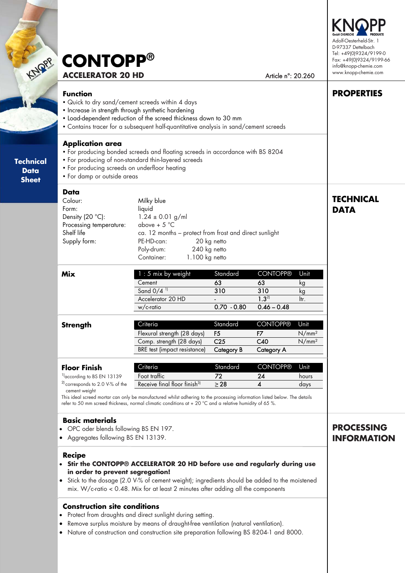| <b>CONTOPP®</b>          |
|--------------------------|
| <b>ACCELERATOR 20 HD</b> |

Article n°: 20.260

Adolf-Oesterheld-Str. 1 D-97337 Dettelbach Tel: +49(0)9324/9199-0 Fax: +49(0)9324/9199-66 info@knopp-chemie.com www.knopp-chemie.com

**PROPERTIES** 

#### **Function**

**Technical**   $\mathcal{L}$ **Sheet** 

> **Technica Data Sheet**

Quick to dry sand/cement screeds within 4 days

| <b>Application area</b><br>• For producing screeds on underfloor heating<br>• For damp or outside areas      | • For producing bonded screeds and floating screeds in accordance with BS 8204<br>• For producing of non-standard thin-layered screeds                                                                      |                                                                    |                                                             |                                                |                                 |
|--------------------------------------------------------------------------------------------------------------|-------------------------------------------------------------------------------------------------------------------------------------------------------------------------------------------------------------|--------------------------------------------------------------------|-------------------------------------------------------------|------------------------------------------------|---------------------------------|
| Data<br>Colour:<br>Form:<br>Density (20 °C):<br>Processing temperature:<br>Shelf life<br>Supply form:        | Milky blue<br>liquid<br>$1.24 \pm 0.01$ g/ml<br>above + $5^{\circ}$ C<br>ca. 12 months - protect from frost and direct sunlight<br>PE-HD-can:<br>Poly-drum:<br>240 kg netto<br>1.100 kg netto<br>Container: | 20 kg netto                                                        |                                                             |                                                | <b>TECHNICAL</b><br><b>DATA</b> |
| <b>Mix</b>                                                                                                   | 1 : 5 mix by weight<br>Cement<br>Sand $0/4$ <sup>11</sup><br>Accelerator 20 HD<br>w/c-ratio                                                                                                                 | Standard<br>63<br>310<br>$0.70 - 0.80$                             | <b>CONTOPP®</b><br>63<br>310<br>$1.3^{21}$<br>$0.46 - 0.48$ | Unit<br>kg<br>kg<br>ltr.                       |                                 |
| <b>Strength</b>                                                                                              | Criteria<br>Flexural strength (28 days)<br>Comp. strength (28 days)<br><b>BRE</b> test (impact resistance)                                                                                                  | Standard<br>F <sub>5</sub><br>C <sub>25</sub><br><b>Category B</b> | <b>CONTOPP®</b><br>F7<br>C40<br><b>Category A</b>           | Unit<br>N/mm <sup>2</sup><br>N/mm <sup>2</sup> |                                 |
| <b>Floor Finish</b><br><sup>1)</sup> according to BS EN 13139<br><sup>2)</sup> corresponds to 2.0 V-% of the | Criteria<br>Foot traffic<br>Receive final floor finish <sup>3)</sup>                                                                                                                                        | Standard<br>72<br>$\geq$ 28                                        | <b>CONTOPP®</b><br>24<br>$\overline{\mathbf{4}}$            | Unit<br>hours<br>days                          |                                 |

- OPC oder blends following BS EN 197.
- Aggregates following BS EN 13139.

#### **Recipe**

- **Stir the CONTOPP® ACCELERATOR 20 HD before use and regularly during use in order to prevent segregation!**
- Stick to the dosage (2.0 V-% of cement weight); ingredients should be added to the moistened mix. W/c-ratio < 0.48. Mix for at least 2 minutes after adding all the components

#### **Construction site conditions**

- Protect from draughts and direct sunlight during setting.
- Remove surplus moisture by means of draught-free ventilation (natural ventilation).
- Nature of construction and construction site preparation following BS 8204-1 and 8000.

## **PROCESSING INFORMATION**